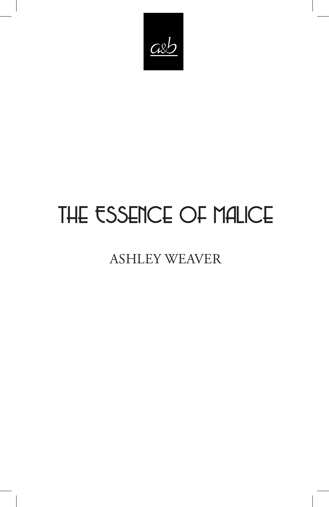

## THE ESSENCE OF MALICE

ASHLEY WEAVER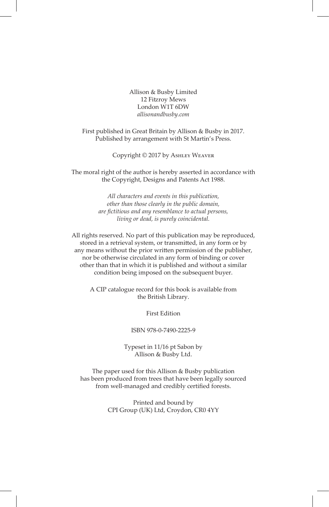Allison & Busby Limited 12 Fitzroy Mews London W1T 6DW *allisonandbusby.com*

First published in Great Britain by Allison & Busby in 2017. Published by arrangement with St Martin's Press.

Copyright © 2017 by Ashley Weaver

The moral right of the author is hereby asserted in accordance with the Copyright, Designs and Patents Act 1988.

> *All characters and events in this publication, other than those clearly in the public domain, are fictitious and any resemblance to actual persons, living or dead, is purely coincidental.*

All rights reserved. No part of this publication may be reproduced, stored in a retrieval system, or transmitted, in any form or by any means without the prior written permission of the publisher, nor be otherwise circulated in any form of binding or cover other than that in which it is published and without a similar condition being imposed on the subsequent buyer.

A CIP catalogue record for this book is available from the British Library.

First Edition

ISBN 978-0-7490-2225-9

Typeset in 11/16 pt Sabon by Allison & Busby Ltd.

The paper used for this Allison & Busby publication has been produced from trees that have been legally sourced from well-managed and credibly certified forests.

> Printed and bound by CPI Group (UK) Ltd, Croydon, CR0 4YY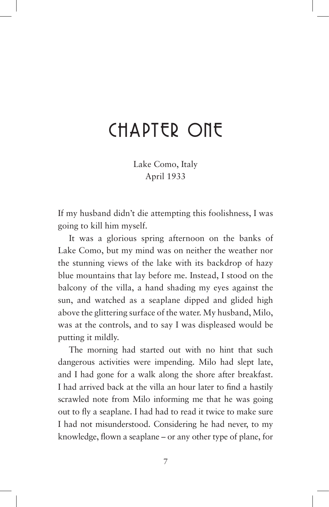## CHAPTER ONE

Lake Como, Italy April 1933

If my husband didn't die attempting this foolishness, I was going to kill him myself.

It was a glorious spring afternoon on the banks of Lake Como, but my mind was on neither the weather nor the stunning views of the lake with its backdrop of hazy blue mountains that lay before me. Instead, I stood on the balcony of the villa, a hand shading my eyes against the sun, and watched as a seaplane dipped and glided high above the glittering surface of the water. My husband, Milo, was at the controls, and to say I was displeased would be putting it mildly.

The morning had started out with no hint that such dangerous activities were impending. Milo had slept late, and I had gone for a walk along the shore after breakfast. I had arrived back at the villa an hour later to find a hastily scrawled note from Milo informing me that he was going out to fly a seaplane. I had had to read it twice to make sure I had not misunderstood. Considering he had never, to my knowledge, flown a seaplane – or any other type of plane, for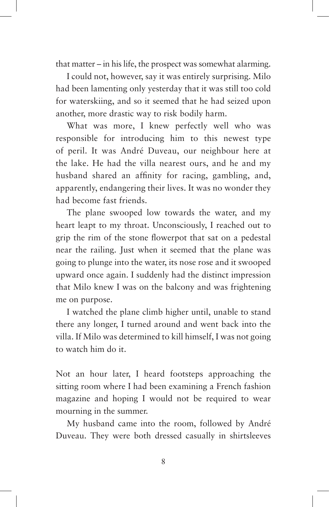that matter – in his life, the prospect was somewhat alarming.

I could not, however, say it was entirely surprising. Milo had been lamenting only yesterday that it was still too cold for waterskiing, and so it seemed that he had seized upon another, more drastic way to risk bodily harm.

What was more, I knew perfectly well who was responsible for introducing him to this newest type of peril. It was André Duveau, our neighbour here at the lake. He had the villa nearest ours, and he and my husband shared an affinity for racing, gambling, and, apparently, endangering their lives. It was no wonder they had become fast friends.

The plane swooped low towards the water, and my heart leapt to my throat. Unconsciously, I reached out to grip the rim of the stone flowerpot that sat on a pedestal near the railing. Just when it seemed that the plane was going to plunge into the water, its nose rose and it swooped upward once again. I suddenly had the distinct impression that Milo knew I was on the balcony and was frightening me on purpose.

I watched the plane climb higher until, unable to stand there any longer, I turned around and went back into the villa. If Milo was determined to kill himself, I was not going to watch him do it.

Not an hour later, I heard footsteps approaching the sitting room where I had been examining a French fashion magazine and hoping I would not be required to wear mourning in the summer.

My husband came into the room, followed by André Duveau. They were both dressed casually in shirtsleeves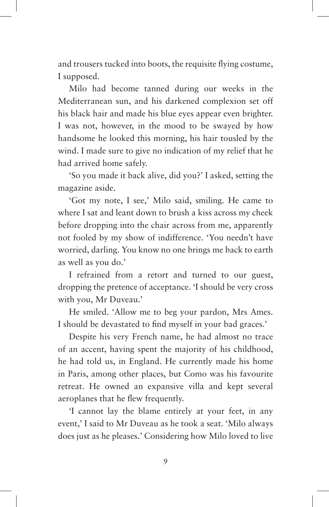and trousers tucked into boots, the requisite flying costume, I supposed.

Milo had become tanned during our weeks in the Mediterranean sun, and his darkened complexion set off his black hair and made his blue eyes appear even brighter. I was not, however, in the mood to be swayed by how handsome he looked this morning, his hair tousled by the wind. I made sure to give no indication of my relief that he had arrived home safely.

'So you made it back alive, did you?' I asked, setting the magazine aside.

'Got my note, I see,' Milo said, smiling. He came to where I sat and leant down to brush a kiss across my cheek before dropping into the chair across from me, apparently not fooled by my show of indifference. 'You needn't have worried, darling. You know no one brings me back to earth as well as you do.'

I refrained from a retort and turned to our guest, dropping the pretence of acceptance. 'I should be very cross with you, Mr Duveau.'

He smiled. 'Allow me to beg your pardon, Mrs Ames. I should be devastated to find myself in your bad graces.'

Despite his very French name, he had almost no trace of an accent, having spent the majority of his childhood, he had told us, in England. He currently made his home in Paris, among other places, but Como was his favourite retreat. He owned an expansive villa and kept several aeroplanes that he flew frequently.

'I cannot lay the blame entirely at your feet, in any event,' I said to Mr Duveau as he took a seat. 'Milo always does just as he pleases.' Considering how Milo loved to live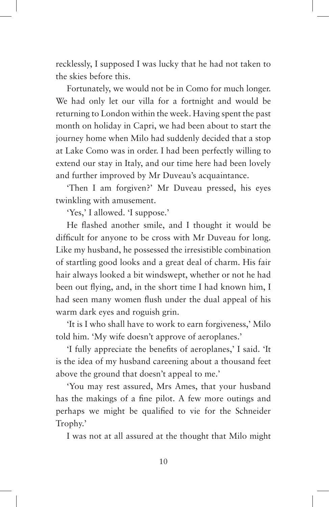recklessly, I supposed I was lucky that he had not taken to the skies before this.

Fortunately, we would not be in Como for much longer. We had only let our villa for a fortnight and would be returning to London within the week. Having spent the past month on holiday in Capri, we had been about to start the journey home when Milo had suddenly decided that a stop at Lake Como was in order. I had been perfectly willing to extend our stay in Italy, and our time here had been lovely and further improved by Mr Duveau's acquaintance.

'Then I am forgiven?' Mr Duveau pressed, his eyes twinkling with amusement.

'Yes,' I allowed. 'I suppose.'

He flashed another smile, and I thought it would be difficult for anyone to be cross with Mr Duveau for long. Like my husband, he possessed the irresistible combination of startling good looks and a great deal of charm. His fair hair always looked a bit windswept, whether or not he had been out flying, and, in the short time I had known him, I had seen many women flush under the dual appeal of his warm dark eyes and roguish grin.

'It is I who shall have to work to earn forgiveness,' Milo told him. 'My wife doesn't approve of aeroplanes.'

'I fully appreciate the benefits of aeroplanes,' I said. 'It is the idea of my husband careening about a thousand feet above the ground that doesn't appeal to me.'

'You may rest assured, Mrs Ames, that your husband has the makings of a fine pilot. A few more outings and perhaps we might be qualified to vie for the Schneider Trophy.'

I was not at all assured at the thought that Milo might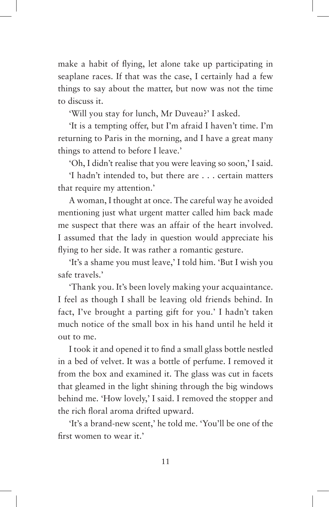make a habit of flying, let alone take up participating in seaplane races. If that was the case, I certainly had a few things to say about the matter, but now was not the time to discuss it.

'Will you stay for lunch, Mr Duveau?' I asked.

'It is a tempting offer, but I'm afraid I haven't time. I'm returning to Paris in the morning, and I have a great many things to attend to before I leave.'

'Oh, I didn't realise that you were leaving so soon,' I said.

'I hadn't intended to, but there are . . . certain matters that require my attention.'

A woman, I thought at once. The careful way he avoided mentioning just what urgent matter called him back made me suspect that there was an affair of the heart involved. I assumed that the lady in question would appreciate his flying to her side. It was rather a romantic gesture.

'It's a shame you must leave,' I told him. 'But I wish you safe travels.'

'Thank you. It's been lovely making your acquaintance. I feel as though I shall be leaving old friends behind. In fact, I've brought a parting gift for you.' I hadn't taken much notice of the small box in his hand until he held it out to me.

I took it and opened it to find a small glass bottle nestled in a bed of velvet. It was a bottle of perfume. I removed it from the box and examined it. The glass was cut in facets that gleamed in the light shining through the big windows behind me. 'How lovely,' I said. I removed the stopper and the rich floral aroma drifted upward.

'It's a brand-new scent,' he told me. 'You'll be one of the first women to wear it.'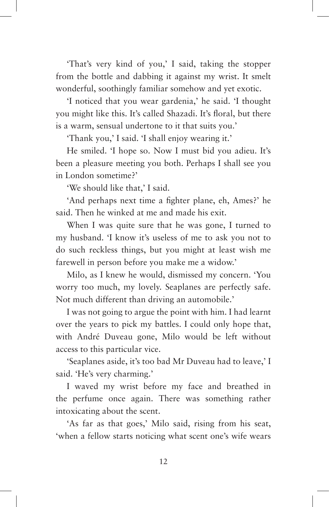'That's very kind of you,' I said, taking the stopper from the bottle and dabbing it against my wrist. It smelt wonderful, soothingly familiar somehow and yet exotic.

'I noticed that you wear gardenia,' he said. 'I thought you might like this. It's called Shazadi. It's floral, but there is a warm, sensual undertone to it that suits you.'

'Thank you,' I said. 'I shall enjoy wearing it.'

He smiled. 'I hope so. Now I must bid you adieu. It's been a pleasure meeting you both. Perhaps I shall see you in London sometime?'

'We should like that,' I said.

'And perhaps next time a fighter plane, eh, Ames?' he said. Then he winked at me and made his exit.

When I was quite sure that he was gone, I turned to my husband. 'I know it's useless of me to ask you not to do such reckless things, but you might at least wish me farewell in person before you make me a widow.'

Milo, as I knew he would, dismissed my concern. 'You worry too much, my lovely. Seaplanes are perfectly safe. Not much different than driving an automobile.'

I was not going to argue the point with him. I had learnt over the years to pick my battles. I could only hope that, with André Duveau gone, Milo would be left without access to this particular vice.

'Seaplanes aside, it's too bad Mr Duveau had to leave,' I said. 'He's very charming.'

I waved my wrist before my face and breathed in the perfume once again. There was something rather intoxicating about the scent.

'As far as that goes,' Milo said, rising from his seat, 'when a fellow starts noticing what scent one's wife wears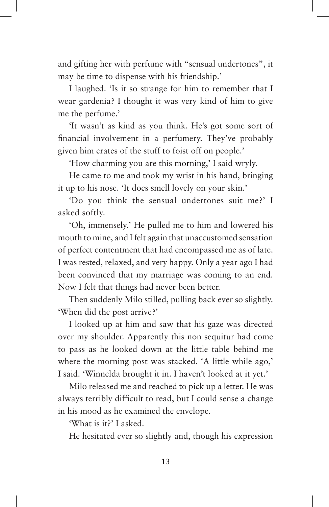and gifting her with perfume with "sensual undertones", it may be time to dispense with his friendship.'

I laughed. 'Is it so strange for him to remember that I wear gardenia? I thought it was very kind of him to give me the perfume.'

'It wasn't as kind as you think. He's got some sort of financial involvement in a perfumery. They've probably given him crates of the stuff to foist off on people.'

'How charming you are this morning,' I said wryly.

He came to me and took my wrist in his hand, bringing it up to his nose. 'It does smell lovely on your skin.'

'Do you think the sensual undertones suit me?' I asked softly.

'Oh, immensely.' He pulled me to him and lowered his mouth to mine, and I felt again that unaccustomed sensation of perfect contentment that had encompassed me as of late. I was rested, relaxed, and very happy. Only a year ago I had been convinced that my marriage was coming to an end. Now I felt that things had never been better.

Then suddenly Milo stilled, pulling back ever so slightly. 'When did the post arrive?'

I looked up at him and saw that his gaze was directed over my shoulder. Apparently this non sequitur had come to pass as he looked down at the little table behind me where the morning post was stacked. 'A little while ago,' I said. 'Winnelda brought it in. I haven't looked at it yet.'

Milo released me and reached to pick up a letter. He was always terribly difficult to read, but I could sense a change in his mood as he examined the envelope.

'What is it?' I asked.

He hesitated ever so slightly and, though his expression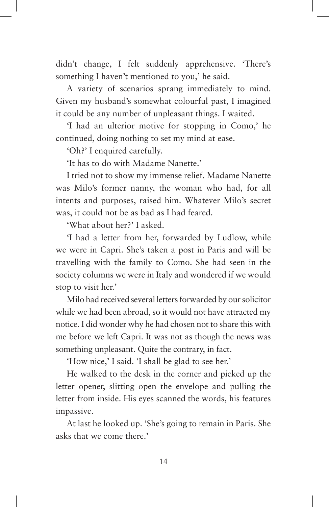didn't change, I felt suddenly apprehensive. 'There's something I haven't mentioned to you,' he said.

A variety of scenarios sprang immediately to mind. Given my husband's somewhat colourful past, I imagined it could be any number of unpleasant things. I waited.

'I had an ulterior motive for stopping in Como,' he continued, doing nothing to set my mind at ease.

'Oh?' I enquired carefully.

'It has to do with Madame Nanette.'

I tried not to show my immense relief. Madame Nanette was Milo's former nanny, the woman who had, for all intents and purposes, raised him. Whatever Milo's secret was, it could not be as bad as I had feared.

'What about her?' I asked.

'I had a letter from her, forwarded by Ludlow, while we were in Capri. She's taken a post in Paris and will be travelling with the family to Como. She had seen in the society columns we were in Italy and wondered if we would stop to visit her.'

Milo had received several letters forwarded by our solicitor while we had been abroad, so it would not have attracted my notice. I did wonder why he had chosen not to share this with me before we left Capri. It was not as though the news was something unpleasant. Quite the contrary, in fact.

'How nice,' I said. 'I shall be glad to see her.'

He walked to the desk in the corner and picked up the letter opener, slitting open the envelope and pulling the letter from inside. His eyes scanned the words, his features impassive.

At last he looked up. 'She's going to remain in Paris. She asks that we come there.'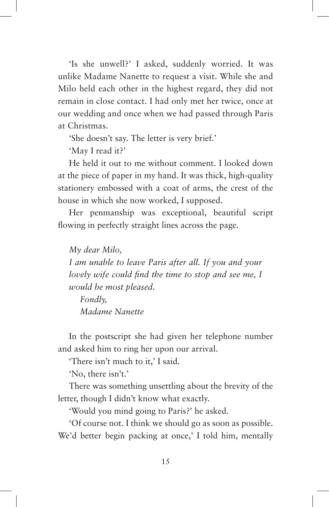'Is she unwell?' I asked, suddenly worried. It was unlike Madame Nanette to request a visit. While she and Milo held each other in the highest regard, they did not remain in close contact. I had only met her twice, once at our wedding and once when we had passed through Paris at Christmas.

'She doesn't say. The letter is very brief.'

'May I read it?'

He held it out to me without comment. I looked down at the piece of paper in my hand. It was thick, high-quality stationery embossed with a coat of arms, the crest of the house in which she now worked, I supposed.

Her penmanship was exceptional, beautiful script flowing in perfectly straight lines across the page.

*My dear Milo, I am unable to leave Paris after all. If you and your lovely wife could find the time to stop and see me, I would be most pleased.* 

*Fondly, Madame Nanette*

In the postscript she had given her telephone number and asked him to ring her upon our arrival.

'There isn't much to it,' I said.

'No, there isn't.'

There was something unsettling about the brevity of the letter, though I didn't know what exactly.

'Would you mind going to Paris?' he asked.

'Of course not. I think we should go as soon as possible. We'd better begin packing at once,' I told him, mentally